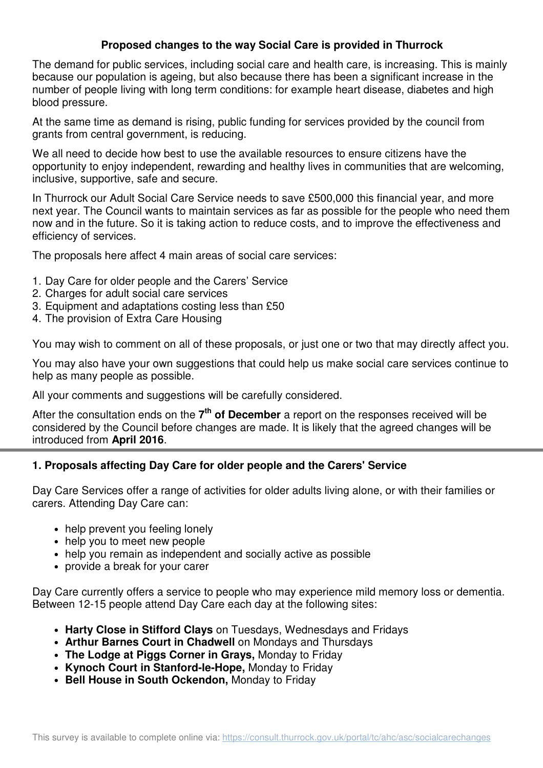### **Proposed changes to the way Social Care is provided in Thurrock**

The demand for public services, including social care and health care, is increasing. This is mainly because our population is ageing, but also because there has been a significant increase in the number of people living with long term conditions: for example heart disease, diabetes and high blood pressure.

At the same time as demand is rising, public funding for services provided by the council from grants from central government, is reducing.

We all need to decide how best to use the available resources to ensure citizens have the opportunity to enjoy independent, rewarding and healthy lives in communities that are welcoming, inclusive, supportive, safe and secure.

In Thurrock our Adult Social Care Service needs to save £500,000 this financial year, and more next year. The Council wants to maintain services as far as possible for the people who need them now and in the future. So it is taking action to reduce costs, and to improve the effectiveness and efficiency of services.

The proposals here affect 4 main areas of social care services:

- 1. Day Care for older people and the Carers' Service
- 2. Charges for adult social care services
- 3. Equipment and adaptations costing less than £50
- 4. The provision of Extra Care Housing

You may wish to comment on all of these proposals, or just one or two that may directly affect you.

You may also have your own suggestions that could help us make social care services continue to help as many people as possible.

All your comments and suggestions will be carefully considered.

After the consultation ends on the 7<sup>th</sup> of December a report on the responses received will be considered by the Council before changes are made. It is likely that the agreed changes will be introduced from **April 2016**.

#### **1. Proposals affecting Day Care for older people and the Carers' Service**

Day Care Services offer a range of activities for older adults living alone, or with their families or carers. Attending Day Care can:

- help prevent you feeling lonely
- help you to meet new people
- help you remain as independent and socially active as possible
- provide a break for your carer

Day Care currently offers a service to people who may experience mild memory loss or dementia. Between 12-15 people attend Day Care each day at the following sites:

- **Harty Close in Stifford Clays** on Tuesdays, Wednesdays and Fridays
- **Arthur Barnes Court in Chadwell** on Mondays and Thursdays
- **The Lodge at Piggs Corner in Grays,** Monday to Friday
- **Kynoch Court in Stanford-le-Hope,** Monday to Friday
- **Bell House in South Ockendon,** Monday to Friday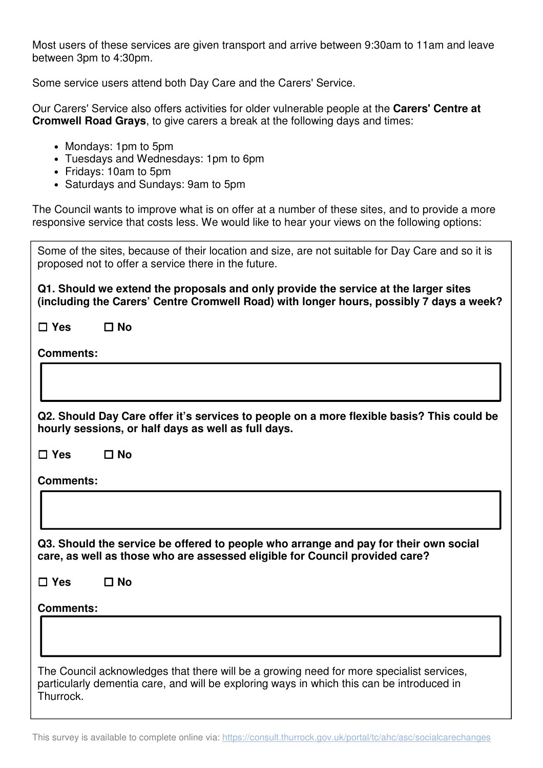Most users of these services are given transport and arrive between 9:30am to 11am and leave between 3pm to 4:30pm.

Some service users attend both Day Care and the Carers' Service.

Our Carers' Service also offers activities for older vulnerable people at the **Carers' Centre at Cromwell Road Grays**, to give carers a break at the following days and times:

- Mondays: 1pm to 5pm
- Tuesdays and Wednesdays: 1pm to 6pm
- Fridays: 10am to 5pm
- Saturdays and Sundays: 9am to 5pm

The Council wants to improve what is on offer at a number of these sites, and to provide a more responsive service that costs less. We would like to hear your views on the following options:

| Some of the sites, because of their location and size, are not suitable for Day Care and so it is<br>proposed not to offer a service there in the future.                                          |
|----------------------------------------------------------------------------------------------------------------------------------------------------------------------------------------------------|
| Q1. Should we extend the proposals and only provide the service at the larger sites<br>(including the Carers' Centre Cromwell Road) with longer hours, possibly 7 days a week?                     |
| $\Box$ Yes<br>$\square$ No                                                                                                                                                                         |
| <b>Comments:</b>                                                                                                                                                                                   |
|                                                                                                                                                                                                    |
| Q2. Should Day Care offer it's services to people on a more flexible basis? This could be<br>hourly sessions, or half days as well as full days.                                                   |
| $\Box$ Yes<br>$\Box$ No                                                                                                                                                                            |
| <b>Comments:</b>                                                                                                                                                                                   |
|                                                                                                                                                                                                    |
| Q3. Should the service be offered to people who arrange and pay for their own social<br>care, as well as those who are assessed eligible for Council provided care?                                |
| $\square$ No<br>$\Box$ Yes                                                                                                                                                                         |
| <b>Comments:</b>                                                                                                                                                                                   |
|                                                                                                                                                                                                    |
| The Council acknowledges that there will be a growing need for more specialist services,<br>particularly dementia care, and will be exploring ways in which this can be introduced in<br>Thurrock. |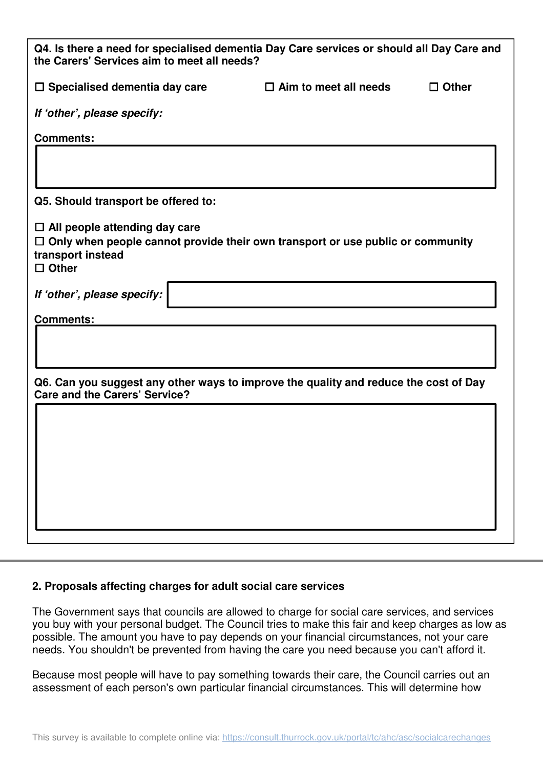| Q4. Is there a need for specialised dementia Day Care services or should all Day Care and<br>the Carers' Services aim to meet all needs?                           |                              |              |  |
|--------------------------------------------------------------------------------------------------------------------------------------------------------------------|------------------------------|--------------|--|
| $\Box$ Specialised dementia day care                                                                                                                               | $\Box$ Aim to meet all needs | $\Box$ Other |  |
| If 'other', please specify:                                                                                                                                        |                              |              |  |
| <b>Comments:</b>                                                                                                                                                   |                              |              |  |
|                                                                                                                                                                    |                              |              |  |
| Q5. Should transport be offered to:                                                                                                                                |                              |              |  |
| $\Box$ All people attending day care<br>$\Box$ Only when people cannot provide their own transport or use public or community<br>transport instead<br>$\Box$ Other |                              |              |  |
| If 'other', please specify:                                                                                                                                        |                              |              |  |
| <b>Comments:</b>                                                                                                                                                   |                              |              |  |
| Q6. Can you suggest any other ways to improve the quality and reduce the cost of Day<br><b>Care and the Carers' Service?</b>                                       |                              |              |  |
|                                                                                                                                                                    |                              |              |  |
|                                                                                                                                                                    |                              |              |  |
|                                                                                                                                                                    |                              |              |  |
|                                                                                                                                                                    |                              |              |  |
|                                                                                                                                                                    |                              |              |  |

#### **2. Proposals affecting charges for adult social care services**

The Government says that councils are allowed to charge for social care services, and services you buy with your personal budget. The Council tries to make this fair and keep charges as low as possible. The amount you have to pay depends on your financial circumstances, not your care needs. You shouldn't be prevented from having the care you need because you can't afford it.

Because most people will have to pay something towards their care, the Council carries out an assessment of each person's own particular financial circumstances. This will determine how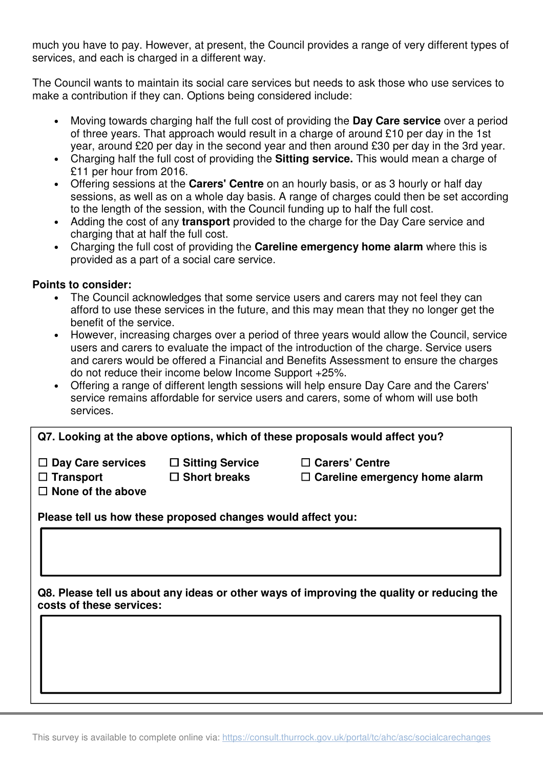much you have to pay. However, at present, the Council provides a range of very different types of services, and each is charged in a different way.

The Council wants to maintain its social care services but needs to ask those who use services to make a contribution if they can. Options being considered include:

- Moving towards charging half the full cost of providing the **Day Care service** over a period of three years. That approach would result in a charge of around £10 per day in the 1st year, around £20 per day in the second year and then around £30 per day in the 3rd year.
- Charging half the full cost of providing the **Sitting service.** This would mean a charge of £11 per hour from 2016.
- Offering sessions at the **Carers' Centre** on an hourly basis, or as 3 hourly or half day sessions, as well as on a whole day basis. A range of charges could then be set according to the length of the session, with the Council funding up to half the full cost.
- Adding the cost of any **transport** provided to the charge for the Day Care service and charging that at half the full cost.
- Charging the full cost of providing the **Careline emergency home alarm** where this is provided as a part of a social care service.

#### **Points to consider:**

- The Council acknowledges that some service users and carers may not feel they can afford to use these services in the future, and this may mean that they no longer get the benefit of the service.
- However, increasing charges over a period of three years would allow the Council, service users and carers to evaluate the impact of the introduction of the charge. Service users and carers would be offered a Financial and Benefits Assessment to ensure the charges do not reduce their income below Income Support +25%.
- Offering a range of different length sessions will help ensure Day Care and the Carers' service remains affordable for service users and carers, some of whom will use both services.

**Q7. Looking at the above options, which of these proposals would affect you?**

☐ **Day Care services** ☐ **Sitting Service** ☐ **Carers' Centre** 

☐ **Transport** ☐ **Short breaks** ☐ **Careline emergency home alarm** 

☐ **None of the above** 

**Please tell us how these proposed changes would affect you:** 

**Q8. Please tell us about any ideas or other ways of improving the quality or reducing the costs of these services:**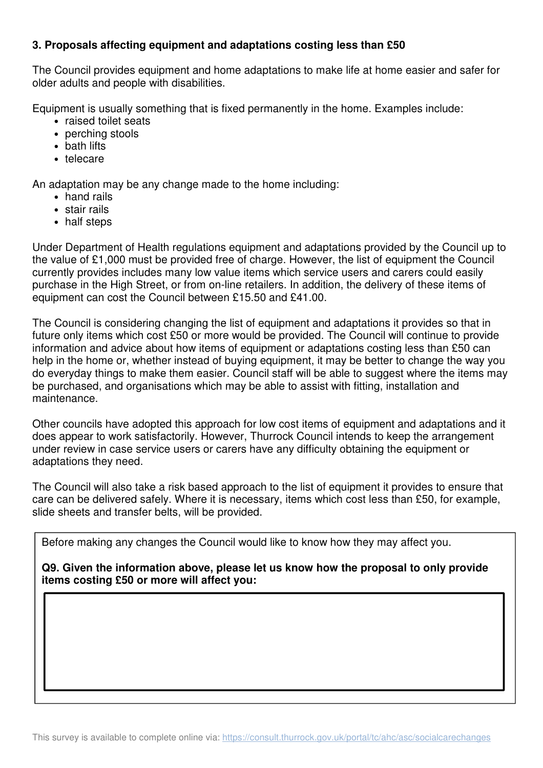### **3. Proposals affecting equipment and adaptations costing less than £50**

The Council provides equipment and home adaptations to make life at home easier and safer for older adults and people with disabilities.

Equipment is usually something that is fixed permanently in the home. Examples include:

- raised toilet seats
- perching stools
- bath lifts
- telecare

An adaptation may be any change made to the home including:

- hand rails
- stair rails
- half steps

Under Department of Health regulations equipment and adaptations provided by the Council up to the value of £1,000 must be provided free of charge. However, the list of equipment the Council currently provides includes many low value items which service users and carers could easily purchase in the High Street, or from on-line retailers. In addition, the delivery of these items of equipment can cost the Council between £15.50 and £41.00.

The Council is considering changing the list of equipment and adaptations it provides so that in future only items which cost £50 or more would be provided. The Council will continue to provide information and advice about how items of equipment or adaptations costing less than £50 can help in the home or, whether instead of buying equipment, it may be better to change the way you do everyday things to make them easier. Council staff will be able to suggest where the items may be purchased, and organisations which may be able to assist with fitting, installation and maintenance.

Other councils have adopted this approach for low cost items of equipment and adaptations and it does appear to work satisfactorily. However, Thurrock Council intends to keep the arrangement under review in case service users or carers have any difficulty obtaining the equipment or adaptations they need.

The Council will also take a risk based approach to the list of equipment it provides to ensure that care can be delivered safely. Where it is necessary, items which cost less than £50, for example, slide sheets and transfer belts, will be provided.

Before making any changes the Council would like to know how they may affect you.

**Q9. Given the information above, please let us know how the proposal to only provide items costing £50 or more will affect you:**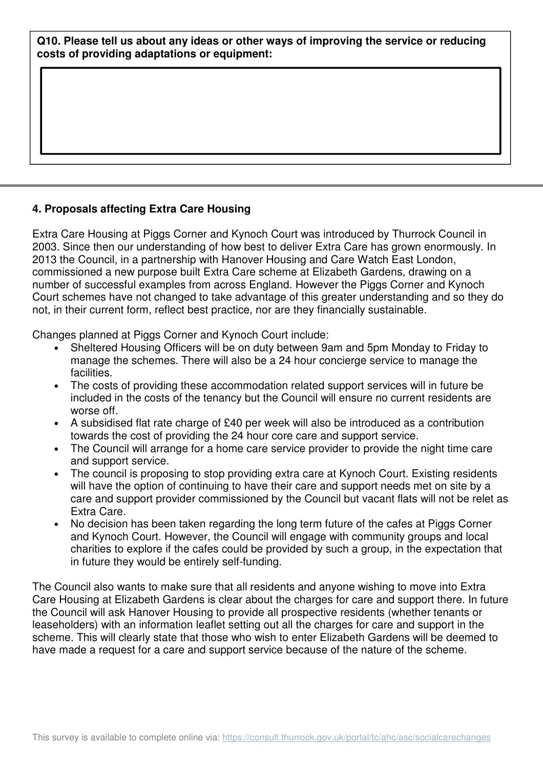#### **Q10. Please tell us about any ideas or other ways of improving the service or reducing costs of providing adaptations or equipment:**

### **4. Proposals affecting Extra Care Housing**

Extra Care Housing at Piggs Corner and Kynoch Court was introduced by Thurrock Council in 2003. Since then our understanding of how best to deliver Extra Care has grown enormously. In 2013 the Council, in a partnership with Hanover Housing and Care Watch East London, commissioned a new purpose built Extra Care scheme at Elizabeth Gardens, drawing on a number of successful examples from across England. However the Piggs Corner and Kynoch Court schemes have not changed to take advantage of this greater understanding and so they do not, in their current form, reflect best practice, nor are they financially sustainable.

Changes planned at Piggs Corner and Kynoch Court include:

- Sheltered Housing Officers will be on duty between 9am and 5pm Monday to Friday to manage the schemes. There will also be a 24 hour concierge service to manage the facilities.
- The costs of providing these accommodation related support services will in future be included in the costs of the tenancy but the Council will ensure no current residents are worse off.
- A subsidised flat rate charge of £40 per week will also be introduced as a contribution towards the cost of providing the 24 hour core care and support service.
- The Council will arrange for a home care service provider to provide the night time care and support service.
- The council is proposing to stop providing extra care at Kynoch Court. Existing residents will have the option of continuing to have their care and support needs met on site by a care and support provider commissioned by the Council but vacant flats will not be relet as Extra Care.
- No decision has been taken regarding the long term future of the cafes at Piggs Corner and Kynoch Court. However, the Council will engage with community groups and local charities to explore if the cafes could be provided by such a group, in the expectation that in future they would be entirely self-funding.

The Council also wants to make sure that all residents and anyone wishing to move into Extra Care Housing at Elizabeth Gardens is clear about the charges for care and support there. In future the Council will ask Hanover Housing to provide all prospective residents (whether tenants or leaseholders) with an information leaflet setting out all the charges for care and support in the scheme. This will clearly state that those who wish to enter Elizabeth Gardens will be deemed to have made a request for a care and support service because of the nature of the scheme.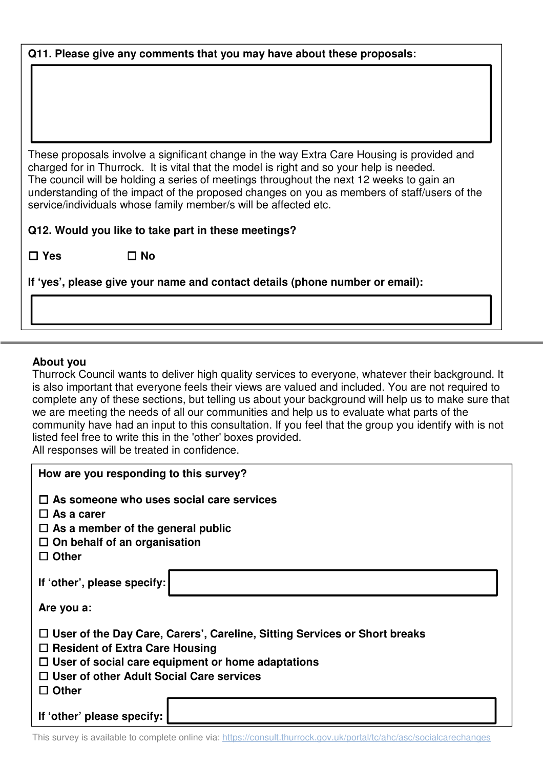#### **Q11. Please give any comments that you may have about these proposals:**

These proposals involve a significant change in the way Extra Care Housing is provided and charged for in Thurrock. It is vital that the model is right and so your help is needed. The council will be holding a series of meetings throughout the next 12 weeks to gain an understanding of the impact of the proposed changes on you as members of staff/users of the service/individuals whose family member/s will be affected etc.

**Q12. Would you like to take part in these meetings?**

☐ **Yes** ☐ **No** 

**If 'yes', please give your name and contact details (phone number or email):** 

#### **About you**

Thurrock Council wants to deliver high quality services to everyone, whatever their background. It is also important that everyone feels their views are valued and included. You are not required to complete any of these sections, but telling us about your background will help us to make sure that we are meeting the needs of all our communities and help us to evaluate what parts of the community have had an input to this consultation. If you feel that the group you identify with is not listed feel free to write this in the 'other' boxes provided.

All responses will be treated in confidence.

| How are you responding to this survey?                                           |  |  |
|----------------------------------------------------------------------------------|--|--|
| $\Box$ As someone who uses social care services                                  |  |  |
| $\Box$ As a carer                                                                |  |  |
| $\Box$ As a member of the general public                                         |  |  |
| $\Box$ On behalf of an organisation                                              |  |  |
| <b>Other</b><br>l 1                                                              |  |  |
| If 'other', please specify:                                                      |  |  |
| Are you a:                                                                       |  |  |
| $\Box$ User of the Day Care, Carers', Careline, Sitting Services or Short breaks |  |  |
| $\Box$ Resident of Extra Care Housing                                            |  |  |
| $\Box$ User of social care equipment or home adaptations                         |  |  |
| $\Box$ User of other Adult Social Care services                                  |  |  |
| $\square$ Other                                                                  |  |  |
|                                                                                  |  |  |
| If 'other' please specify:                                                       |  |  |